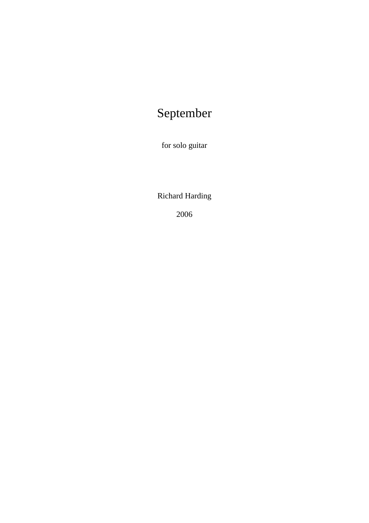## September

for solo guitar

Richard Harding

2006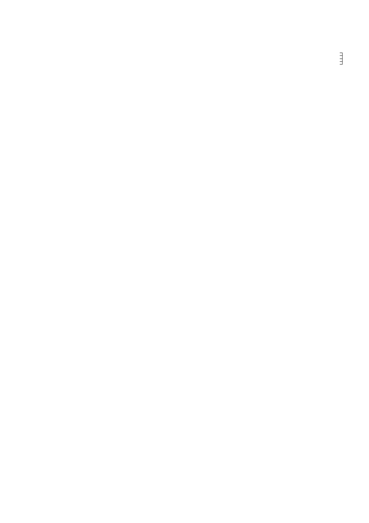$\begin{array}{c} \textcolor{blue}{\textbf{I} \textbf{I} \textbf{I} \textbf{I}} \end{array}$